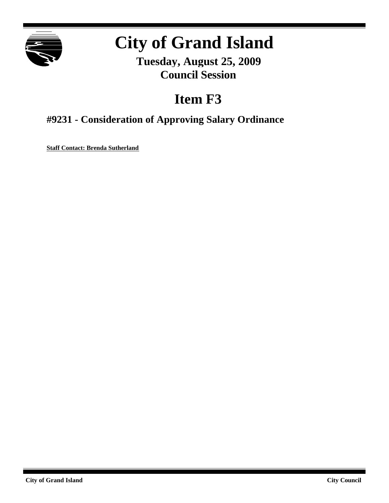

# **City of Grand Island**

**Tuesday, August 25, 2009 Council Session**

## **Item F3**

## **#9231 - Consideration of Approving Salary Ordinance**

**Staff Contact: Brenda Sutherland**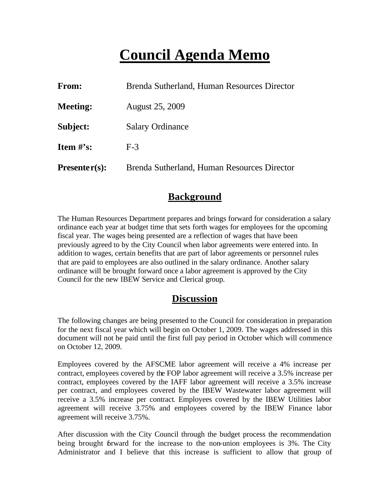## **Council Agenda Memo**

| From:           | Brenda Sutherland, Human Resources Director |
|-----------------|---------------------------------------------|
| <b>Meeting:</b> | <b>August 25, 2009</b>                      |
| Subject:        | <b>Salary Ordinance</b>                     |
| Item $\#$ 's:   | $F-3$                                       |
| $Presenter(s):$ | Brenda Sutherland, Human Resources Director |

## **Background**

The Human Resources Department prepares and brings forward for consideration a salary ordinance each year at budget time that sets forth wages for employees for the upcoming fiscal year. The wages being presented are a reflection of wages that have been previously agreed to by the City Council when labor agreements were entered into. In addition to wages, certain benefits that are part of labor agreements or personnel rules that are paid to employees are also outlined in the salary ordinance. Another salary ordinance will be brought forward once a labor agreement is approved by the City Council for the new IBEW Service and Clerical group.

## **Discussion**

The following changes are being presented to the Council for consideration in preparation for the next fiscal year which will begin on October 1, 2009. The wages addressed in this document will not be paid until the first full pay period in October which will commence on October 12, 2009.

Employees covered by the AFSCME labor agreement will receive a 4% increase per contract, employees covered by the FOP labor agreement will receive a 3.5% increase per contract, employees covered by the IAFF labor agreement will receive a 3.5% increase per contract, and employees covered by the IBEW Wastewater labor agreement will receive a 3.5% increase per contract. Employees covered by the IBEW Utilities labor agreement will receive 3.75% and employees covered by the IBEW Finance labor agreement will receive 3.75%.

After discussion with the City Council through the budget process the recommendation being brought forward for the increase to the non-union employees is 3%. The City Administrator and I believe that this increase is sufficient to allow that group of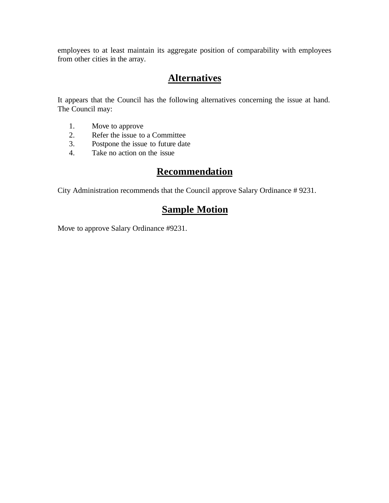employees to at least maintain its aggregate position of comparability with employees from other cities in the array.

## **Alternatives**

It appears that the Council has the following alternatives concerning the issue at hand. The Council may:

- 1. Move to approve
- 2. Refer the issue to a Committee<br>3. Postpone the issue to future date
- Postpone the issue to future date
- 4. Take no action on the issue

## **Recommendation**

City Administration recommends that the Council approve Salary Ordinance # 9231.

## **Sample Motion**

Move to approve Salary Ordinance #9231.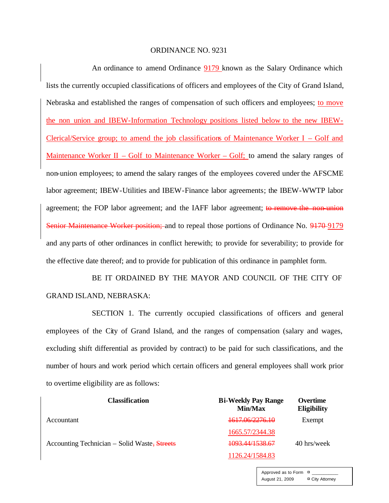#### ORDINANCE NO. 9231

An ordinance to amend Ordinance 9179 known as the Salary Ordinance which lists the currently occupied classifications of officers and employees of the City of Grand Island, Nebraska and established the ranges of compensation of such officers and employees; to move the non union and IBEW-Information Technology positions listed below to the new IBEW-Clerical/Service group; to amend the job classifications of Maintenance Worker I – Golf and Maintenance Worker II – Golf to Maintenance Worker – Golf; to amend the salary ranges of non-union employees; to amend the salary ranges of the employees covered under the AFSCME labor agreement; IBEW-Utilities and IBEW-Finance labor agreements; the IBEW-WWTP labor agreement; the FOP labor agreement; and the IAFF labor agreement; to remove the non-union Senior Maintenance Worker position; and to repeal those portions of Ordinance No. 9170-9179 and any parts of other ordinances in conflict herewith; to provide for severability; to provide for the effective date thereof; and to provide for publication of this ordinance in pamphlet form.

BE IT ORDAINED BY THE MAYOR AND COUNCIL OF THE CITY OF GRAND ISLAND, NEBRASKA:

SECTION 1. The currently occupied classifications of officers and general employees of the City of Grand Island, and the ranges of compensation (salary and wages, excluding shift differential as provided by contract) to be paid for such classifications, and the number of hours and work period which certain officers and general employees shall work prior to overtime eligibility are as follows:

| <b>Classification</b>                        | <b>Bi-Weekly Pay Range</b><br>Min/Max | <b>Overtime</b><br><b>Eligibility</b> |
|----------------------------------------------|---------------------------------------|---------------------------------------|
| Accountant                                   | <del>1617.06/2276.10</del>            | Exempt                                |
|                                              | 1665.57/2344.38                       |                                       |
| Accounting Technician – Solid Waste, Streets | 1093.44/1538.67                       | 40 hrs/week                           |
|                                              | 1126.24/1584.83                       |                                       |

Approved as to Form  $\overline{a}$ August 21, 2009 ¤ City Attorney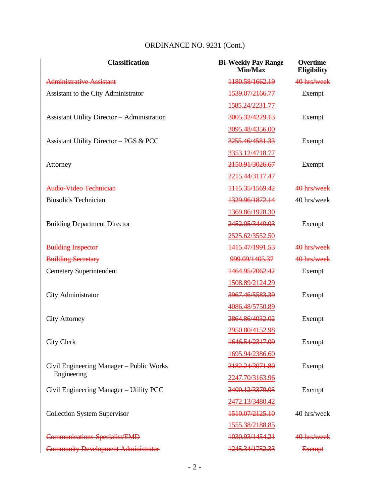| <b>Classification</b>                              | <b>Bi-Weekly Pay Range</b><br>Min/Max | Overtime<br><b>Eligibility</b> |
|----------------------------------------------------|---------------------------------------|--------------------------------|
| Administrative Assistant                           | 1180.58/1662.19                       | 40 hrs/week                    |
| Assistant to the City Administrator                | 1539.07/2166.77                       | Exempt                         |
|                                                    | 1585.24/2231.77                       |                                |
| <b>Assistant Utility Director - Administration</b> | 3005.32/4229.13                       | Exempt                         |
|                                                    | 3095.48/4356.00                       |                                |
| Assistant Utility Director - PGS & PCC             | 3255.46/4581.33                       | Exempt                         |
|                                                    | 3353.12/4718.77                       |                                |
| Attorney                                           | 2150.91/3026.67                       | Exempt                         |
|                                                    | 2215.44/3117.47                       |                                |
| Audio Video Technician                             | 1115.35/1569.42                       | 40 hrs/week                    |
| <b>Biosolids Technician</b>                        | 1329.96/1872.14                       | 40 hrs/week                    |
|                                                    | 1369.86/1928.30                       |                                |
| <b>Building Department Director</b>                | 2452.05/3449.03                       | Exempt                         |
|                                                    | 2525.62/3552.50                       |                                |
| <b>Building Inspector</b>                          | 1415.47/1991.53                       | 40 hrs/week                    |
| <b>Building Secretary</b>                          | 999.09/1405.37                        | 40 hrs/week                    |
| <b>Cemetery Superintendent</b>                     | 1464.95/2062.42                       | Exempt                         |
|                                                    | 1508.89/2124.29                       |                                |
| City Administrator                                 | 3967.46/5583.39                       | Exempt                         |
|                                                    | 4086.48/5750.89                       |                                |
| <b>City Attorney</b>                               | 2864.86/4032.02                       | Exempt                         |
|                                                    | 2950.80/4152.98                       |                                |
| <b>City Clerk</b>                                  | 1646.54/2317.09                       | Exempt                         |
|                                                    | 1695.94/2386.60                       |                                |
| Civil Engineering Manager – Public Works           | 2182.24/3071.80                       | Exempt                         |
| Engineering                                        | 2247.70/3163.96                       |                                |
| Civil Engineering Manager - Utility PCC            | 2400.12/3379.05                       | Exempt                         |
|                                                    | 2472.13/3480.42                       |                                |
| <b>Collection System Supervisor</b>                | 1510.07/2125.10                       | 40 hrs/week                    |
|                                                    | 1555.38/2188.85                       |                                |
| <b>Communications Specialist/EMD</b>               | 1030.93/1454.21                       | 40 hrs/week                    |
| <b>Community Development Administrator</b>         | 1245.34/1752.33                       | <b>Exempt</b>                  |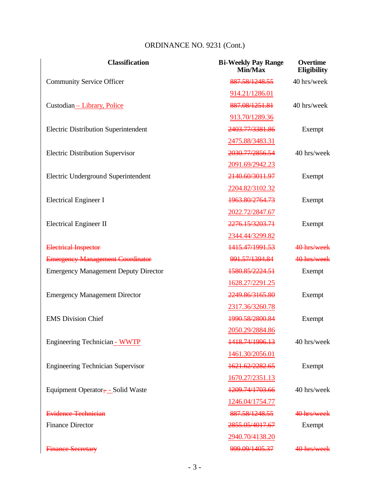| <b>Classification</b>                       | <b>Bi-Weekly Pay Range</b><br>Min/Max | Overtime<br><b>Eligibility</b> |
|---------------------------------------------|---------------------------------------|--------------------------------|
| <b>Community Service Officer</b>            | 887.58/1248.55                        | 40 hrs/week                    |
|                                             | 914.21/1286.01                        |                                |
| Custodian - Library, Police                 | 887.08/1251.81                        | 40 hrs/week                    |
|                                             | 913.70/1289.36                        |                                |
| <b>Electric Distribution Superintendent</b> | 2403.77/3381.86                       | Exempt                         |
|                                             | 2475.88/3483.31                       |                                |
| <b>Electric Distribution Supervisor</b>     | 2030.77/2856.54                       | 40 hrs/week                    |
|                                             | 2091.69/2942.23                       |                                |
| Electric Underground Superintendent         | 2140.60/3011.97                       | Exempt                         |
|                                             | 2204.82/3102.32                       |                                |
| <b>Electrical Engineer I</b>                | 1963.80/2764.73                       | Exempt                         |
|                                             | 2022.72/2847.67                       |                                |
| <b>Electrical Engineer II</b>               | 2276.15/3203.71                       | Exempt                         |
|                                             | 2344.44/3299.82                       |                                |
| <b>Electrical Inspector</b>                 | 1415.47/1991.53                       | 40 hrs/week                    |
| <b>Emergency Management Coordinator</b>     | 991.57/1394.84                        | 40 hrs/week                    |
| <b>Emergency Management Deputy Director</b> | 1580.85/2224.51                       | Exempt                         |
|                                             | 1628.27/2291.25                       |                                |
| <b>Emergency Management Director</b>        | 2249.86/3165.80                       | Exempt                         |
|                                             | 2317.36/3260.78                       |                                |
| <b>EMS</b> Division Chief                   | 1990.58/2800.84                       | Exempt                         |
|                                             | 2050.29/2884.86                       |                                |
| <b>Engineering Technician - WWTP</b>        | 1418.74/1996.13                       | 40 hrs/week                    |
|                                             | 1461.30/2056.01                       |                                |
| <b>Engineering Technician Supervisor</b>    | 1621.62/2282.65                       | Exempt                         |
|                                             | 1670.27/2351.13                       |                                |
| Equipment Operator, - Solid Waste           | 1209.74/1703.66                       | 40 hrs/week                    |
|                                             | 1246.04/1754.77                       |                                |
| <b>Evidence Technician</b>                  | 887.58/1248.55                        | 40 hrs/week                    |
| <b>Finance Director</b>                     | 2855.05/4017.67                       | Exempt                         |
|                                             | 2940.70/4138.20                       |                                |
| <b>Finance Secretary</b>                    | 999.09/1405.37                        | 40 hrs/week                    |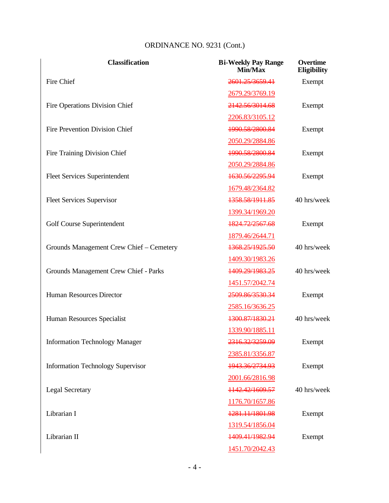| <b>Classification</b>                    | <b>Bi-Weekly Pay Range</b><br>Min/Max | Overtime<br><b>Eligibility</b> |
|------------------------------------------|---------------------------------------|--------------------------------|
| Fire Chief                               | 2601.25/3659.41                       | Exempt                         |
|                                          | 2679.29/3769.19                       |                                |
| Fire Operations Division Chief           | 2142.56/3014.68                       | Exempt                         |
|                                          | 2206.83/3105.12                       |                                |
| Fire Prevention Division Chief           | 1990.58/2800.84                       | Exempt                         |
|                                          | 2050.29/2884.86                       |                                |
| Fire Training Division Chief             | 1990.58/2800.84                       | Exempt                         |
|                                          | 2050.29/2884.86                       |                                |
| <b>Fleet Services Superintendent</b>     | 1630.56/2295.94                       | Exempt                         |
|                                          | 1679.48/2364.82                       |                                |
| <b>Fleet Services Supervisor</b>         | 1358.58/1911.85                       | 40 hrs/week                    |
|                                          | 1399.34/1969.20                       |                                |
| Golf Course Superintendent               | 1824.72/2567.68                       | Exempt                         |
|                                          | 1879.46/2644.71                       |                                |
| Grounds Management Crew Chief - Cemetery | 1368.25/1925.50                       | 40 hrs/week                    |
|                                          | 1409.30/1983.26                       |                                |
| Grounds Management Crew Chief - Parks    | 1409.29/1983.25                       | 40 hrs/week                    |
|                                          | 1451.57/2042.74                       |                                |
| Human Resources Director                 | 2509.86/3530.34                       | Exempt                         |
|                                          | 2585.16/3636.25                       |                                |
| Human Resources Specialist               | 1300.87/1830.21                       | 40 hrs/week                    |
|                                          | 1339.90/1885.11                       |                                |
| <b>Information Technology Manager</b>    | 2316.32/3259.09                       | Exempt                         |
|                                          | 2385.81/3356.87                       |                                |
| <b>Information Technology Supervisor</b> | 1943.36/2734.93                       | Exempt                         |
|                                          | 2001.66/2816.98                       |                                |
| <b>Legal Secretary</b>                   | 1142.42/1609.57                       | 40 hrs/week                    |
|                                          | 1176.70/1657.86                       |                                |
| Librarian I                              | 1281.11/1801.98                       | Exempt                         |
|                                          | 1319.54/1856.04                       |                                |
| Librarian II                             | 1409.41/1982.94                       | Exempt                         |
|                                          | 1451.70/2042.43                       |                                |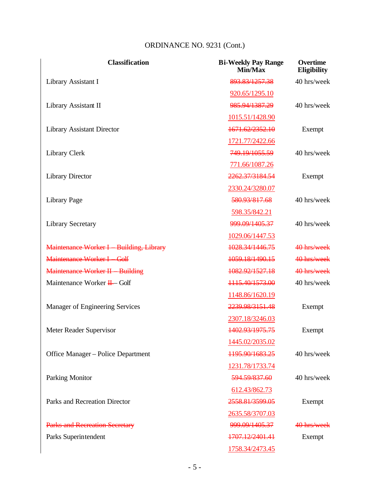| <b>Classification</b>                  | <b>Bi-Weekly Pay Range</b><br>Min/Max | <b>Overtime</b><br><b>Eligibility</b> |
|----------------------------------------|---------------------------------------|---------------------------------------|
| Library Assistant I                    | 893.83/1257.38                        | 40 hrs/week                           |
|                                        | 920.65/1295.10                        |                                       |
| Library Assistant II                   | 985.94/1387.29                        | 40 hrs/week                           |
|                                        | 1015.51/1428.90                       |                                       |
| <b>Library Assistant Director</b>      | 1671.62/2352.10                       | Exempt                                |
|                                        | 1721.77/2422.66                       |                                       |
| Library Clerk                          | 749.19/1055.59                        | 40 hrs/week                           |
|                                        | 771.66/1087.26                        |                                       |
| <b>Library Director</b>                | 2262.37/3184.54                       | Exempt                                |
|                                        | 2330.24/3280.07                       |                                       |
| Library Page                           | 580.93/817.68                         | 40 hrs/week                           |
|                                        | 598.35/842.21                         |                                       |
| <b>Library Secretary</b>               | 999.09/1405.37                        | 40 hrs/week                           |
|                                        | 1029.06/1447.53                       |                                       |
| Maintenance Worker I Building, Library | 1028.34/1446.75                       | 40 hrs/week                           |
| Maintenance Worker I Golf              | 1059.18/1490.15                       | 40 hrs/week                           |
| <b>Maintenance Worker II Building</b>  | 1082.92/1527.18                       | 40 hrs/week                           |
| Maintenance Worker H-Golf              | 1115.40/1573.00                       | 40 hrs/week                           |
|                                        | 1148.86/1620.19                       |                                       |
| Manager of Engineering Services        | 2239.98/3151.48                       | Exempt                                |
|                                        | 2307.18/3246.03                       |                                       |
| Meter Reader Supervisor                | 1402.93/1975.75                       | Exempt                                |
|                                        | 1445.02/2035.02                       |                                       |
| Office Manager – Police Department     | 1195.90/1683.25                       | 40 hrs/week                           |
|                                        | 1231.78/1733.74                       |                                       |
| <b>Parking Monitor</b>                 | 594.59/837.60                         | 40 hrs/week                           |
|                                        | 612.43/862.73                         |                                       |
| Parks and Recreation Director          | 2558.81/3599.05                       | Exempt                                |
|                                        | 2635.58/3707.03                       |                                       |
| <b>Parks and Recreation Secretary</b>  | 999.09/1405.37                        | 40 hrs/week                           |
| Parks Superintendent                   | 1707.12/2401.41                       | Exempt                                |
|                                        | 1758.34/2473.45                       |                                       |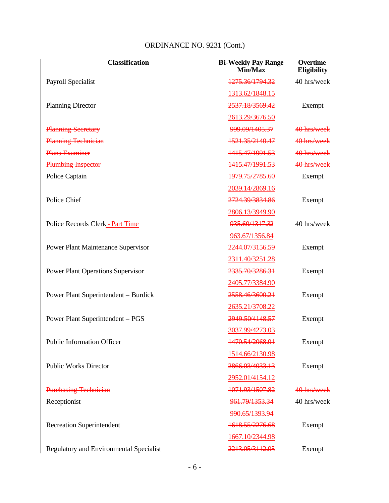| <b>Classification</b>                       | <b>Bi-Weekly Pay Range</b><br>Min/Max | Overtime<br><b>Eligibility</b> |
|---------------------------------------------|---------------------------------------|--------------------------------|
| Payroll Specialist                          | 1275.36/1794.32                       | 40 hrs/week                    |
|                                             | 1313.62/1848.15                       |                                |
| <b>Planning Director</b>                    | 2537.18/3569.42                       | Exempt                         |
|                                             | 2613.29/3676.50                       |                                |
| <b>Planning Secretary</b>                   | 999.09/1405.37                        | 40 hrs/week                    |
| <b>Planning Technician</b>                  | 1521.35/2140.47                       | 40 hrs/week                    |
| <b>Plans Examiner</b>                       | 1415.47/1991.53                       | 40 hrs/week                    |
| <b>Plumbing Inspector</b>                   | 1415.47/1991.53                       | 40 hrs/week                    |
| Police Captain                              | 1979.75/2785.60                       | Exempt                         |
|                                             | 2039.14/2869.16                       |                                |
| Police Chief                                | 2724.39/3834.86                       | Exempt                         |
|                                             | 2806.13/3949.90                       |                                |
| Police Records Clerk - Part Time            | 935.60/1317.32                        | 40 hrs/week                    |
|                                             | 963.67/1356.84                        |                                |
| <b>Power Plant Maintenance Supervisor</b>   | 2244.07/3156.59                       | Exempt                         |
|                                             | 2311.40/3251.28                       |                                |
| <b>Power Plant Operations Supervisor</b>    | 2335.70/3286.31                       | Exempt                         |
|                                             | 2405.77/3384.90                       |                                |
| <b>Power Plant Superintendent – Burdick</b> | 2558.46/3600.21                       | Exempt                         |
|                                             | 2635.21/3708.22                       |                                |
| Power Plant Superintendent - PGS            | 2949.50/4148.57                       | Exempt                         |
|                                             | 3037.99/4273.03                       |                                |
| Public Information Officer                  | 1470.54/2068.91                       | Exempt                         |
|                                             | 1514.66/2130.98                       |                                |
| <b>Public Works Director</b>                | 2866.03/4033.13                       | Exempt                         |
|                                             | 2952.01/4154.12                       |                                |
| <b>Purchasing Technician</b>                | 1071.93/1507.82                       | 40 hrs/week                    |
| Receptionist                                | 961.79/1353.34                        | 40 hrs/week                    |
|                                             | 990.65/1393.94                        |                                |
| <b>Recreation Superintendent</b>            | 1618.55/2276.68                       | Exempt                         |
|                                             | 1667.10/2344.98                       |                                |
| Regulatory and Environmental Specialist     | 2213.05/3112.95                       | Exempt                         |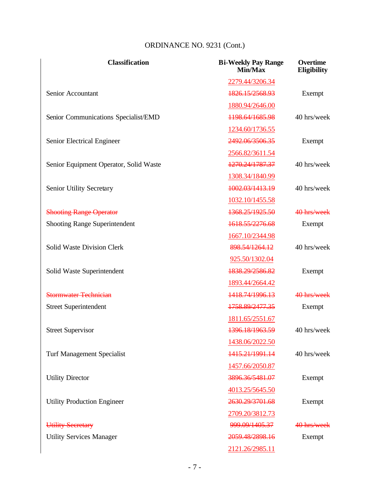| <b>Classification</b>                  | <b>Bi-Weekly Pay Range</b><br>Min/Max | Overtime<br><b>Eligibility</b> |
|----------------------------------------|---------------------------------------|--------------------------------|
|                                        | 2279.44/3206.34                       |                                |
| Senior Accountant                      | 1826.15/2568.93                       | Exempt                         |
|                                        | 1880.94/2646.00                       |                                |
| Senior Communications Specialist/EMD   | 1198.64/1685.98                       | 40 hrs/week                    |
|                                        | 1234.60/1736.55                       |                                |
| Senior Electrical Engineer             | 2492.06/3506.35                       | Exempt                         |
|                                        | 2566.82/3611.54                       |                                |
| Senior Equipment Operator, Solid Waste | 1270.24/1787.37                       | 40 hrs/week                    |
|                                        | 1308.34/1840.99                       |                                |
| Senior Utility Secretary               | 1002.03/1413.19                       | 40 hrs/week                    |
|                                        | 1032.10/1455.58                       |                                |
| <b>Shooting Range Operator</b>         | 1368.25/1925.50                       | 40 hrs/week                    |
| <b>Shooting Range Superintendent</b>   | 1618.55/2276.68                       | Exempt                         |
|                                        | 1667.10/2344.98                       |                                |
| <b>Solid Waste Division Clerk</b>      | 898.54/1264.12                        | 40 hrs/week                    |
|                                        | 925.50/1302.04                        |                                |
| Solid Waste Superintendent             | 1838.29/2586.82                       | Exempt                         |
|                                        | 1893.44/2664.42                       |                                |
| <b>Stormwater Technician</b>           | 1418.74/1996.13                       | 40 hrs/week                    |
| <b>Street Superintendent</b>           | 1758.89/2477.35                       | Exempt                         |
|                                        | 1811.65/2551.67                       |                                |
| <b>Street Supervisor</b>               | 1396.18/1963.59                       | 40 hrs/week                    |
|                                        | 1438.06/2022.50                       |                                |
| <b>Turf Management Specialist</b>      | 1415.21/1991.14                       | 40 hrs/week                    |
|                                        | 1457.66/2050.87                       |                                |
| <b>Utility Director</b>                | 3896.36/5481.07                       | Exempt                         |
|                                        | 4013.25/5645.50                       |                                |
| <b>Utility Production Engineer</b>     | 2630.29/3701.68                       | Exempt                         |
|                                        | 2709.20/3812.73                       |                                |
| Utility Secretary                      | 999.09/1405.37                        | 40 hrs/week                    |
| <b>Utility Services Manager</b>        | 2059.48/2898.16                       | Exempt                         |
|                                        | 2121.26/2985.11                       |                                |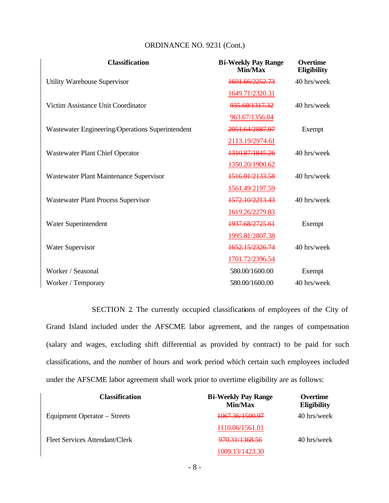| ORDINANCE NO. 9231 (Cont.) |  |  |
|----------------------------|--|--|
|----------------------------|--|--|

| <b>Classification</b>                            | <b>Bi-Weekly Pay Range</b><br>Min/Max | <b>Overtime</b><br>Eligibility |
|--------------------------------------------------|---------------------------------------|--------------------------------|
| Utility Warehouse Supervisor                     | 1601.66/2252.73                       | 40 hrs/week                    |
|                                                  | 1649.71/2320.31                       |                                |
| Victim Assistance Unit Coordinator               | 935.60/1317.32                        | 40 hrs/week                    |
|                                                  | 963.67/1356.84                        |                                |
| Wastewater Engineering/Operations Superintendent | 2051.64/2887.97                       | Exempt                         |
|                                                  | 2113.19/2974.61                       |                                |
| <b>Wastewater Plant Chief Operator</b>           | 1310.87/1845.26                       | 40 hrs/week                    |
|                                                  | 1350.20/1900.62                       |                                |
| Wastewater Plant Maintenance Supervisor          | 1516.01/2133.58                       | 40 hrs/week                    |
|                                                  | 1561.49/2197.59                       |                                |
| <b>Wastewater Plant Process Supervisor</b>       | 1572.10/2213.43                       | 40 hrs/week                    |
|                                                  | 1619.26/2279.83                       |                                |
| Water Superintendent                             | 1937.68/2725.61                       | Exempt                         |
|                                                  | 1995.81/2807.38                       |                                |
| <b>Water Supervisor</b>                          | 1652.15/2326.74                       | 40 hrs/week                    |
|                                                  | 1701.72/2396.54                       |                                |
| Worker / Seasonal                                | 580.00/1600.00                        | Exempt                         |
| Worker / Temporary                               | 580.00/1600.00                        | 40 hrs/week                    |

SECTION 2. The currently occupied classifications of employees of the City of Grand Island included under the AFSCME labor agreement, and the ranges of compensation (salary and wages, excluding shift differential as provided by contract) to be paid for such classifications, and the number of hours and work period which certain such employees included under the AFSCME labor agreement shall work prior to overtime eligibility are as follows:

| <b>Classification</b>          | <b>Bi-Weekly Pay Range</b><br>Min/Max | <b>Overtime</b><br><b>Eligibility</b> |
|--------------------------------|---------------------------------------|---------------------------------------|
| Equipment Operator – Streets   | <del>1067.36/1500.97</del>            | 40 hrs/week                           |
|                                | 1110.06/1561.01                       |                                       |
| Fleet Services Attendant/Clerk | 970.31/1368.56                        | 40 hrs/week                           |
|                                | 1009.13/1423.30                       |                                       |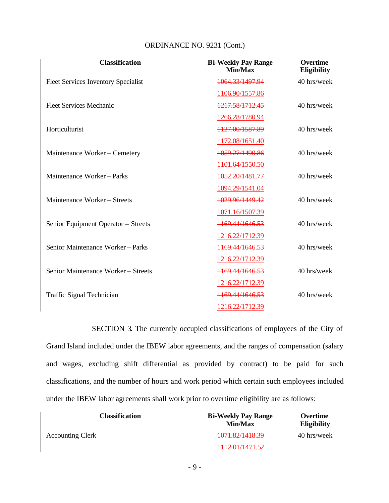| <b>Classification</b>                      | <b>Bi-Weekly Pay Range</b><br>Min/Max | <b>Overtime</b><br><b>Eligibility</b> |
|--------------------------------------------|---------------------------------------|---------------------------------------|
| <b>Fleet Services Inventory Specialist</b> | 1064.33/1497.94                       | 40 hrs/week                           |
|                                            | 1106.90/1557.86                       |                                       |
| <b>Fleet Services Mechanic</b>             | 1217.58/1712.45                       | 40 hrs/week                           |
|                                            | 1266.28/1780.94                       |                                       |
| Horticulturist                             | 1127.00/1587.89                       | 40 hrs/week                           |
|                                            | 1172.08/1651.40                       |                                       |
| Maintenance Worker - Cemetery              | 1059.27/1490.86                       | 40 hrs/week                           |
|                                            | 1101.64/1550.50                       |                                       |
| Maintenance Worker - Parks                 | 1052.20/1481.77                       | 40 hrs/week                           |
|                                            | 1094.29/1541.04                       |                                       |
| Maintenance Worker - Streets               | 1029.96/1449.42                       | 40 hrs/week                           |
|                                            | 1071.16/1507.39                       |                                       |
| Senior Equipment Operator - Streets        | 1169.44/1646.53                       | 40 hrs/week                           |
|                                            | 1216.22/1712.39                       |                                       |
| Senior Maintenance Worker - Parks          | 1169.44/1646.53                       | 40 hrs/week                           |
|                                            | 1216.22/1712.39                       |                                       |
| Senior Maintenance Worker – Streets        | 1169.44/1646.53                       | 40 hrs/week                           |
|                                            | 1216.22/1712.39                       |                                       |
| <b>Traffic Signal Technician</b>           | 1169.44/1646.53                       | 40 hrs/week                           |
|                                            | 1216.22/1712.39                       |                                       |

SECTION 3. The currently occupied classifications of employees of the City of Grand Island included under the IBEW labor agreements, and the ranges of compensation (salary and wages, excluding shift differential as provided by contract) to be paid for such classifications, and the number of hours and work period which certain such employees included under the IBEW labor agreements shall work prior to overtime eligibility are as follows:

| <b>Classification</b>   | <b>Bi-Weekly Pay Range</b><br>Min/Max | Overtime<br><b>Eligibility</b> |
|-------------------------|---------------------------------------|--------------------------------|
| <b>Accounting Clerk</b> | <del>1071.82/1418.39</del>            | 40 hrs/week                    |
|                         | 1112.01/1471.52                       |                                |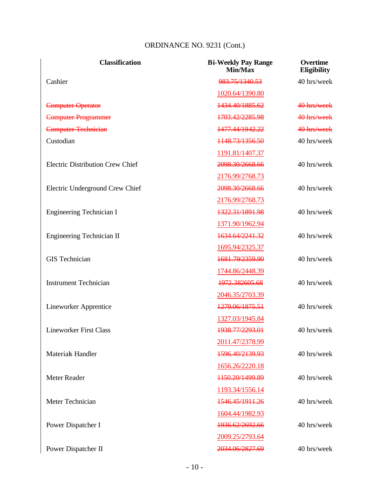| <b>Classification</b>                   | <b>Bi-Weekly Pay Range</b><br>Min/Max | <b>Overtime</b><br><b>Eligibility</b> |
|-----------------------------------------|---------------------------------------|---------------------------------------|
| Cashier                                 | 983.75/1340.53                        | 40 hrs/week                           |
|                                         | 1020.64/1390.80                       |                                       |
| <b>Computer Operator</b>                | 1434.40/1885.62                       | 40 hrs/week                           |
| <b>Computer Programmer</b>              | 1703.42/2285.98                       | 40 hrs/week                           |
| <b>Computer Technician</b>              | 1477.44/1942.22                       | 40 hrs/week                           |
| Custodian                               | 1148.73/1356.50                       | 40 hrs/week                           |
|                                         | 1191.81/1407.37                       |                                       |
| <b>Electric Distribution Crew Chief</b> | 2098.30/2668.66                       | 40 hrs/week                           |
|                                         | 2176.99/2768.73                       |                                       |
| Electric Underground Crew Chief         | 2098.30/2668.66                       | 40 hrs/week                           |
|                                         | 2176.99/2768.73                       |                                       |
| <b>Engineering Technician I</b>         | 1322.31/1891.98                       | 40 hrs/week                           |
|                                         | 1371.90/1962.94                       |                                       |
| Engineering Technician II               | 1634.64/2241.32                       | 40 hrs/week                           |
|                                         | 1695.94/2325.37                       |                                       |
| <b>GIS</b> Technician                   | 1681.79/2359.90                       | 40 hrs/week                           |
|                                         | 1744.86/2448.39                       |                                       |
| <b>Instrument Technician</b>            | 1972.382605.68                        | 40 hrs/week                           |
|                                         | 2046.35/2703.39                       |                                       |
| <b>Lineworker Apprentice</b>            | 1279.06/1875.51                       | 40 hrs/week                           |
|                                         | 1327.03/1945.84                       |                                       |
| <b>Lineworker First Class</b>           | 1938.77/2293.01                       | 40 hrs/week                           |
|                                         | 2011.47/2378.99                       |                                       |
| <b>Materials Handler</b>                | 1596.40/2139.93                       | 40 hrs/week                           |
|                                         | 1656.26/2220.18                       |                                       |
| Meter Reader                            | 1150.20/1499.89                       | 40 hrs/week                           |
|                                         | 1193.34/1556.14                       |                                       |
| Meter Technician                        | 1546.45/1911.26                       | 40 hrs/week                           |
|                                         | 1604.44/1982.93                       |                                       |
| Power Dispatcher I                      | 1936.62/2692.66                       | 40 hrs/week                           |
|                                         | 2009.25/2793.64                       |                                       |
| Power Dispatcher II                     | 2034.06/2827.69                       | 40 hrs/week                           |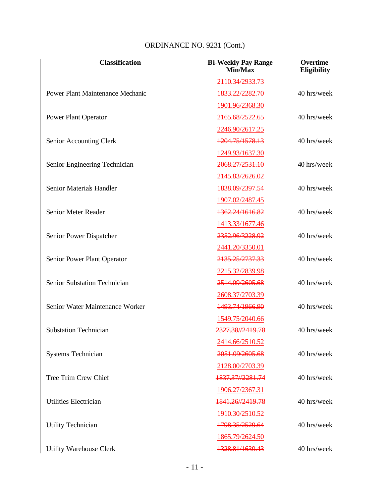| <b>Classification</b>                   | <b>Bi-Weekly Pay Range</b><br>Min/Max | <b>Overtime</b><br><b>Eligibility</b> |
|-----------------------------------------|---------------------------------------|---------------------------------------|
|                                         | 2110.34/2933.73                       |                                       |
| <b>Power Plant Maintenance Mechanic</b> | 1833.22/2282.70                       | 40 hrs/week                           |
|                                         | 1901.96/2368.30                       |                                       |
| <b>Power Plant Operator</b>             | 2165.68/2522.65                       | 40 hrs/week                           |
|                                         | 2246.90/2617.25                       |                                       |
| Senior Accounting Clerk                 | 1204.75/1578.13                       | 40 hrs/week                           |
|                                         | 1249.93/1637.30                       |                                       |
| Senior Engineering Technician           | 2068.27/2531.10                       | 40 hrs/week                           |
|                                         | 2145.83/2626.02                       |                                       |
| Senior Material Handler                 | 1838.09/2397.54                       | 40 hrs/week                           |
|                                         | 1907.02/2487.45                       |                                       |
| Senior Meter Reader                     | 1362.24/1616.82                       | 40 hrs/week                           |
|                                         | 1413.33/1677.46                       |                                       |
| Senior Power Dispatcher                 | <del>2352.96/3228.92</del>            | 40 hrs/week                           |
|                                         | 2441.20/3350.01                       |                                       |
| Senior Power Plant Operator             | 2135.25/2737.33                       | 40 hrs/week                           |
|                                         | 2215.32/2839.98                       |                                       |
| Senior Substation Technician            | 2514.09/2605.68                       | 40 hrs/week                           |
|                                         | 2608.37/2703.39                       |                                       |
| Senior Water Maintenance Worker         | 1493.74/1966.90                       | 40 hrs/week                           |
|                                         | 1549.75/2040.66                       |                                       |
| <b>Substation Technician</b>            | 2327.38//2419.78                      | 40 hrs/week                           |
|                                         | 2414.66/2510.52                       |                                       |
| Systems Technician                      | <del>2051.09/2605.68</del>            | 40 hrs/week                           |
|                                         | 2128.00/2703.39                       |                                       |
| Tree Trim Crew Chief                    | 1837.37//2281.74                      | 40 hrs/week                           |
|                                         | 1906.27/2367.31                       |                                       |
| <b>Utilities Electrician</b>            | 1841.26//2419.78                      | 40 hrs/week                           |
|                                         | 1910.30/2510.52                       |                                       |
| <b>Utility Technician</b>               | 1798.35/2529.64                       | 40 hrs/week                           |
|                                         | 1865.79/2624.50                       |                                       |
| Utility Warehouse Clerk                 | 1328.81/1639.43                       | 40 hrs/week                           |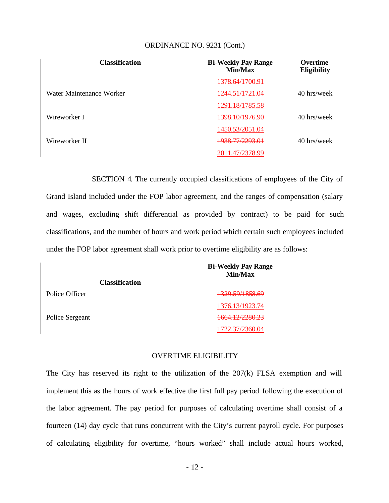| <b>Classification</b>    | <b>Bi-Weekly Pay Range</b><br>Min/Max | <b>Overtime</b><br>Eligibility |
|--------------------------|---------------------------------------|--------------------------------|
|                          | 1378.64/1700.91                       |                                |
| Water Maintenance Worker | 1244 51/1721 04                       | 40 hrs/week                    |
|                          | 1291.18/1785.58                       |                                |
| Wireworker I             | 1398 10/1976 90                       | 40 hrs/week                    |
|                          | 1450.53/2051.04                       |                                |
| Wireworker II            | <del>1938.77/2293.01</del>            | 40 hrs/week                    |
|                          | 2011.47/2378.99                       |                                |

SECTION 4. The currently occupied classifications of employees of the City of Grand Island included under the FOP labor agreement, and the ranges of compensation (salary and wages, excluding shift differential as provided by contract) to be paid for such classifications, and the number of hours and work period which certain such employees included under the FOP labor agreement shall work prior to overtime eligibility are as follows:

|                       | <b>Bi-Weekly Pay Range</b><br>Min/Max |
|-----------------------|---------------------------------------|
| <b>Classification</b> |                                       |
| Police Officer        | <del>1329.59/1858.69</del>            |
|                       | 1376.13/1923.74                       |
| Police Sergeant       | <del>1664.12/2280.23</del>            |
|                       | 1722.37/2360.04                       |

#### OVERTIME ELIGIBILITY

The City has reserved its right to the utilization of the 207(k) FLSA exemption and will implement this as the hours of work effective the first full pay period following the execution of the labor agreement. The pay period for purposes of calculating overtime shall consist of a fourteen (14) day cycle that runs concurrent with the City's current payroll cycle. For purposes of calculating eligibility for overtime, "hours worked" shall include actual hours worked,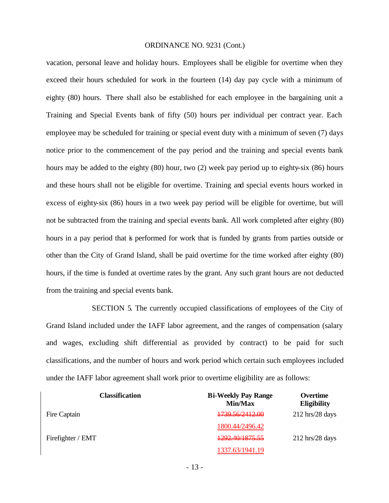vacation, personal leave and holiday hours. Employees shall be eligible for overtime when they exceed their hours scheduled for work in the fourteen (14) day pay cycle with a minimum of eighty (80) hours. There shall also be established for each employee in the bargaining unit a Training and Special Events bank of fifty (50) hours per individual per contract year. Each employee may be scheduled for training or special event duty with a minimum of seven (7) days notice prior to the commencement of the pay period and the training and special events bank hours may be added to the eighty (80) hour, two (2) week pay period up to eighty-six (86) hours and these hours shall not be eligible for overtime. Training and special events hours worked in excess of eighty-six (86) hours in a two week pay period will be eligible for overtime, but will not be subtracted from the training and special events bank. All work completed after eighty (80) hours in a pay period that is performed for work that is funded by grants from parties outside or other than the City of Grand Island, shall be paid overtime for the time worked after eighty (80) hours, if the time is funded at overtime rates by the grant. Any such grant hours are not deducted from the training and special events bank.

SECTION 5. The currently occupied classifications of employees of the City of Grand Island included under the IAFF labor agreement, and the ranges of compensation (salary and wages, excluding shift differential as provided by contract) to be paid for such classifications, and the number of hours and work period which certain such employees included under the IAFF labor agreement shall work prior to overtime eligibility are as follows:

| <b>Classification</b> | <b>Bi-Weekly Pay Range</b><br>Min/Max | Overtime<br><b>Eligibility</b>    |
|-----------------------|---------------------------------------|-----------------------------------|
| Fire Captain          | <del>1739.56/2412.00</del>            | $212 \text{ hrs}/28 \text{ days}$ |
|                       | 1800.44/2496.42                       |                                   |
| Firefighter / EMT     | <del>1292.40/1875.55</del>            | $212 \text{ hrs}/28 \text{ days}$ |
|                       | 1337.63/1941.19                       |                                   |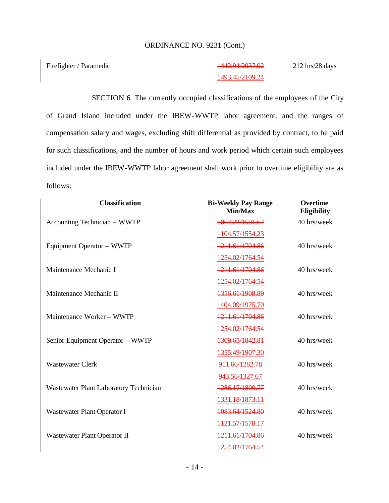Firefighter / Paramedic 1442.94/2037.92

# 1493.45/2109.24

212 hrs/28 days

SECTION 6. The currently occupied classifications of the employees of the City of Grand Island included under the IBEW-WWTP labor agreement, and the ranges of compensation salary and wages, excluding shift differential as provided by contract, to be paid for such classifications, and the number of hours and work period which certain such employees included under the IBEW-WWTP labor agreement shall work prior to overtime eligibility are as follows:

| <b>Classification</b>                  | <b>Bi-Weekly Pay Range</b><br>Min/Max | <b>Overtime</b><br>Eligibility |
|----------------------------------------|---------------------------------------|--------------------------------|
| Accounting Technician – WWTP           | 1067.22/1501.67                       | 40 hrs/week                    |
|                                        | 1104.57/1554.23                       |                                |
| Equipment Operator - WWTP              | 1211.61/1704.86                       | 40 hrs/week                    |
|                                        | 1254.02/1764.54                       |                                |
| Maintenance Mechanic I                 | 1211.61/1704.86                       | 40 hrs/week                    |
|                                        | 1254.02/1764.54                       |                                |
| Maintenance Mechanic II                | 1356.61/1908.89                       | 40 hrs/week                    |
|                                        | 1404.09/1975.70                       |                                |
| Maintenance Worker - WWTP              | 1211.61/1704.86                       | 40 hrs/week                    |
|                                        | 1254.02/1764.54                       |                                |
| Senior Equipment Operator - WWTP       | 1309.65/1842.81                       | 40 hrs/week                    |
|                                        | 1355.49/1907.30                       |                                |
| <b>Wastewater Clerk</b>                | 911.66/1282.78                        | 40 hrs/week                    |
|                                        | 943.56/1327.67                        |                                |
| Wastewater Plant Laboratory Technician | 1286.17/1809.77                       | 40 hrs/week                    |
|                                        | 1331.18/1873.11                       |                                |
| Wastewater Plant Operator I            | 1083.64/1524.80                       | 40 hrs/week                    |
|                                        | 1121.57/1578.17                       |                                |
| Wastewater Plant Operator II           | 1211.61/1704.86                       | 40 hrs/week                    |
|                                        | 1254.02/1764.54                       |                                |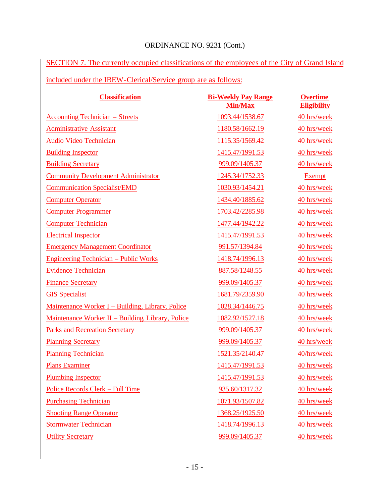SECTION 7. The currently occupied classifications of the employees of the City of Grand Island included under the IBEW-Clerical/Service group are as follows:

| <b>Classification</b>                             | <b>Bi-Weekly Pay Range</b><br><b>Min/Max</b> | <b>Overtime</b><br><b>Eligibility</b> |
|---------------------------------------------------|----------------------------------------------|---------------------------------------|
| <b>Accounting Technician – Streets</b>            | 1093.44/1538.67                              | 40 hrs/week                           |
| <b>Administrative Assistant</b>                   | 1180.58/1662.19                              | 40 hrs/week                           |
| Audio Video Technician                            | 1115.35/1569.42                              | 40 hrs/week                           |
| <b>Building Inspector</b>                         | 1415.47/1991.53                              | 40 hrs/week                           |
| <b>Building Secretary</b>                         | 999.09/1405.37                               | 40 hrs/week                           |
| <b>Community Development Administrator</b>        | 1245.34/1752.33                              | <b>Exempt</b>                         |
| <b>Communication Specialist/EMD</b>               | 1030.93/1454.21                              | 40 hrs/week                           |
| <b>Computer Operator</b>                          | 1434.40/1885.62                              | 40 hrs/week                           |
| <b>Computer Programmer</b>                        | 1703.42/2285.98                              | 40 hrs/week                           |
| <b>Computer Technician</b>                        | 1477.44/1942.22                              | 40 hrs/week                           |
| <b>Electrical Inspector</b>                       | 1415.47/1991.53                              | 40 hrs/week                           |
| <b>Emergency Management Coordinator</b>           | 991.57/1394.84                               | 40 hrs/week                           |
| <b>Engineering Technician – Public Works</b>      | 1418.74/1996.13                              | 40 hrs/week                           |
| <b>Evidence Technician</b>                        | 887.58/1248.55                               | 40 hrs/week                           |
| <b>Finance Secretary</b>                          | 999.09/1405.37                               | 40 hrs/week                           |
| <b>GIS</b> Specialist                             | 1681.79/2359.90                              | 40 hrs/week                           |
| Maintenance Worker I – Building, Library, Police  | 1028.34/1446.75                              | 40 hrs/week                           |
| Maintenance Worker II - Building, Library, Police | 1082.92/1527.18                              | 40 hrs/week                           |
| <b>Parks and Recreation Secretary</b>             | 999.09/1405.37                               | 40 hrs/week                           |
| <b>Planning Secretary</b>                         | 999.09/1405.37                               | 40 hrs/week                           |
| <b>Planning Technician</b>                        | 1521.35/2140.47                              | 40/hrs/week                           |
| <b>Plans Examiner</b>                             | 1415.47/1991.53                              | 40 hrs/week                           |
| <b>Plumbing Inspector</b>                         | 1415.47/1991.53                              | 40 hrs/week                           |
| Police Records Clerk - Full Time                  | 935.60/1317.32                               | 40 hrs/week                           |
| <b>Purchasing Technician</b>                      | 1071.93/1507.82                              | 40 hrs/week                           |
| <b>Shooting Range Operator</b>                    | 1368.25/1925.50                              | 40 hrs/week                           |
| <b>Stormwater Technician</b>                      | 1418.74/1996.13                              | 40 hrs/week                           |
| <b>Utility Secretary</b>                          | 999.09/1405.37                               | 40 hrs/week                           |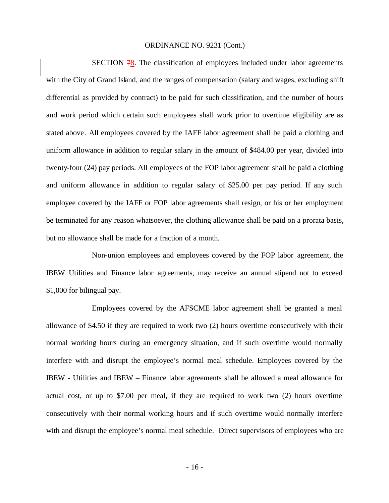SECTION 78. The classification of employees included under labor agreements with the City of Grand Island, and the ranges of compensation (salary and wages, excluding shift differential as provided by contract) to be paid for such classification, and the number of hours and work period which certain such employees shall work prior to overtime eligibility are as stated above. All employees covered by the IAFF labor agreement shall be paid a clothing and uniform allowance in addition to regular salary in the amount of \$484.00 per year, divided into twenty-four (24) pay periods. All employees of the FOP labor agreement shall be paid a clothing and uniform allowance in addition to regular salary of \$25.00 per pay period. If any such employee covered by the IAFF or FOP labor agreements shall resign, or his or her employment be terminated for any reason whatsoever, the clothing allowance shall be paid on a prorata basis, but no allowance shall be made for a fraction of a month.

Non-union employees and employees covered by the FOP labor agreement, the IBEW Utilities and Finance labor agreements, may receive an annual stipend not to exceed \$1,000 for bilingual pay.

Employees covered by the AFSCME labor agreement shall be granted a meal allowance of \$4.50 if they are required to work two (2) hours overtime consecutively with their normal working hours during an emergency situation, and if such overtime would normally interfere with and disrupt the employee's normal meal schedule. Employees covered by the IBEW - Utilities and IBEW – Finance labor agreements shall be allowed a meal allowance for actual cost, or up to \$7.00 per meal, if they are required to work two (2) hours overtime consecutively with their normal working hours and if such overtime would normally interfere with and disrupt the employee's normal meal schedule. Direct supervisors of employees who are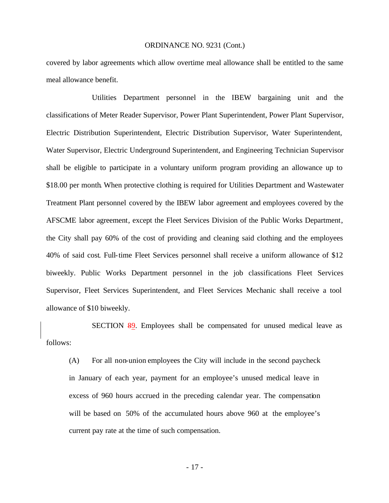covered by labor agreements which allow overtime meal allowance shall be entitled to the same meal allowance benefit.

Utilities Department personnel in the IBEW bargaining unit and the classifications of Meter Reader Supervisor, Power Plant Superintendent, Power Plant Supervisor, Electric Distribution Superintendent, Electric Distribution Supervisor, Water Superintendent, Water Supervisor, Electric Underground Superintendent, and Engineering Technician Supervisor shall be eligible to participate in a voluntary uniform program providing an allowance up to \$18.00 per month. When protective clothing is required for Utilities Department and Wastewater Treatment Plant personnel covered by the IBEW labor agreement and employees covered by the AFSCME labor agreement, except the Fleet Services Division of the Public Works Department, the City shall pay 60% of the cost of providing and cleaning said clothing and the employees 40% of said cost. Full-time Fleet Services personnel shall receive a uniform allowance of \$12 biweekly. Public Works Department personnel in the job classifications Fleet Services Supervisor, Fleet Services Superintendent, and Fleet Services Mechanic shall receive a tool allowance of \$10 biweekly.

SECTION 89. Employees shall be compensated for unused medical leave as follows:

(A) For all non-union employees the City will include in the second paycheck in January of each year, payment for an employee's unused medical leave in excess of 960 hours accrued in the preceding calendar year. The compensation will be based on 50% of the accumulated hours above 960 at the employee's current pay rate at the time of such compensation.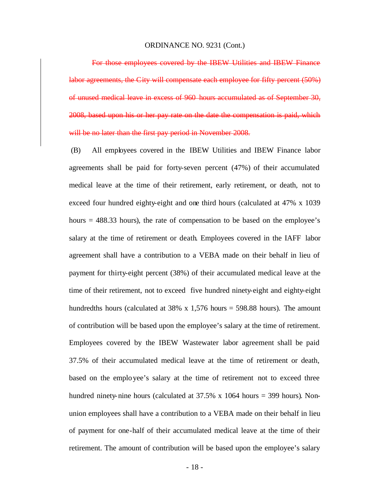For those employees covered by the IBEW Utilities and IBEW Finance labor agreements, the City will compensate each employee for fifty percent (50%) of unused medical leave in excess of 960 hours accumulated as of September 30, 2008, based upon his or her pay rate on the date the compensation is paid, which will be no later than the first pay period in November 2008.

(B) All employees covered in the IBEW Utilities and IBEW Finance labor agreements shall be paid for forty-seven percent (47%) of their accumulated medical leave at the time of their retirement, early retirement, or death, not to exceed four hundred eighty-eight and one third hours (calculated at 47% x 1039 hours = 488.33 hours), the rate of compensation to be based on the employee's salary at the time of retirement or death. Employees covered in the IAFF labor agreement shall have a contribution to a VEBA made on their behalf in lieu of payment for thirty-eight percent (38%) of their accumulated medical leave at the time of their retirement, not to exceed five hundred ninety-eight and eighty-eight hundredths hours (calculated at 38% x 1,576 hours = 598.88 hours). The amount of contribution will be based upon the employee's salary at the time of retirement. Employees covered by the IBEW Wastewater labor agreement shall be paid 37.5% of their accumulated medical leave at the time of retirement or death, based on the employee's salary at the time of retirement not to exceed three hundred ninety-nine hours (calculated at  $37.5\%$  x 1064 hours = 399 hours). Nonunion employees shall have a contribution to a VEBA made on their behalf in lieu of payment for one-half of their accumulated medical leave at the time of their retirement. The amount of contribution will be based upon the employee's salary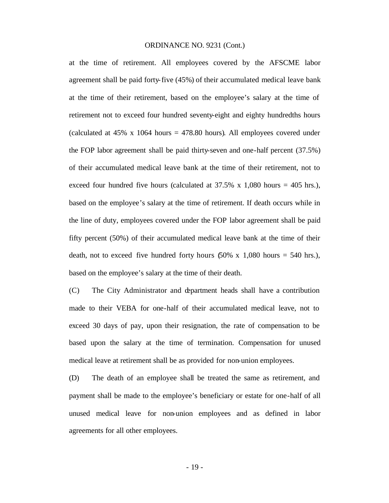at the time of retirement. All employees covered by the AFSCME labor agreement shall be paid forty-five (45%) of their accumulated medical leave bank at the time of their retirement, based on the employee's salary at the time of retirement not to exceed four hundred seventy-eight and eighty hundredths hours (calculated at  $45\%$  x 1064 hours =  $478.80$  hours). All employees covered under the FOP labor agreement shall be paid thirty-seven and one-half percent (37.5%) of their accumulated medical leave bank at the time of their retirement, not to exceed four hundred five hours (calculated at  $37.5\%$  x 1,080 hours = 405 hrs.), based on the employee's salary at the time of retirement. If death occurs while in the line of duty, employees covered under the FOP labor agreement shall be paid fifty percent (50%) of their accumulated medical leave bank at the time of their death, not to exceed five hundred forty hours  $(50\% \times 1,080 \text{ hours} = 540 \text{ hrs.})$ , based on the employee's salary at the time of their death.

(C) The City Administrator and department heads shall have a contribution made to their VEBA for one-half of their accumulated medical leave, not to exceed 30 days of pay, upon their resignation, the rate of compensation to be based upon the salary at the time of termination. Compensation for unused medical leave at retirement shall be as provided for non-union employees.

(D) The death of an employee shall be treated the same as retirement, and payment shall be made to the employee's beneficiary or estate for one-half of all unused medical leave for non-union employees and as defined in labor agreements for all other employees.